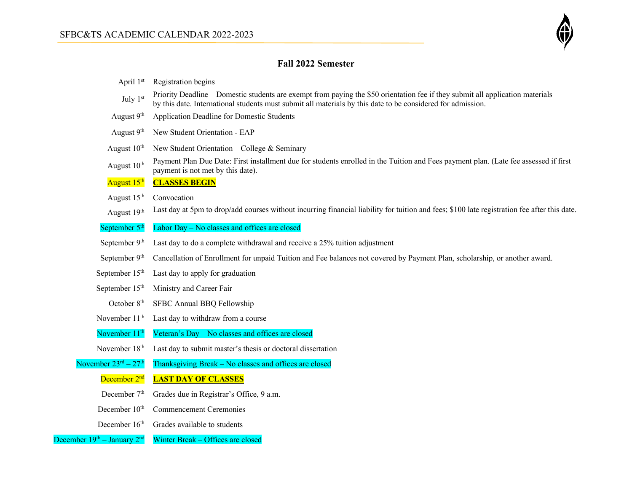

## **Fall 2022 Semester**

| April 1st                                  | Registration begins                                                                                                                                                                                                                           |
|--------------------------------------------|-----------------------------------------------------------------------------------------------------------------------------------------------------------------------------------------------------------------------------------------------|
| July 1st                                   | Priority Deadline – Domestic students are exempt from paying the \$50 orientation fee if they submit all application materials<br>by this date. International students must submit all materials by this date to be considered for admission. |
| August 9 <sup>th</sup>                     | Application Deadline for Domestic Students                                                                                                                                                                                                    |
| August $9th$                               | New Student Orientation - EAP                                                                                                                                                                                                                 |
| August $10th$                              | New Student Orientation – College & Seminary                                                                                                                                                                                                  |
| August 10 <sup>th</sup>                    | Payment Plan Due Date: First installment due for students enrolled in the Tuition and Fees payment plan. (Late fee assessed if first<br>payment is not met by this date).                                                                     |
| August 15 <sup>th</sup>                    | <b>CLASSES BEGIN</b>                                                                                                                                                                                                                          |
| August 15 <sup>th</sup>                    | Convocation                                                                                                                                                                                                                                   |
| August 19th                                | Last day at 5pm to drop/add courses without incurring financial liability for tuition and fees; \$100 late registration fee after this date.                                                                                                  |
| September 5 <sup>th</sup>                  | Labor Day - No classes and offices are closed                                                                                                                                                                                                 |
| September 9th                              | Last day to do a complete withdrawal and receive a 25% tuition adjustment                                                                                                                                                                     |
| September 9 <sup>th</sup>                  | Cancellation of Enrollment for unpaid Tuition and Fee balances not covered by Payment Plan, scholarship, or another award.                                                                                                                    |
| September $15th$                           | Last day to apply for graduation                                                                                                                                                                                                              |
| September 15 <sup>th</sup>                 | Ministry and Career Fair                                                                                                                                                                                                                      |
| October 8 <sup>th</sup>                    | SFBC Annual BBQ Fellowship                                                                                                                                                                                                                    |
| November 11 <sup>th</sup>                  | Last day to withdraw from a course                                                                                                                                                                                                            |
| November 11 <sup>th</sup>                  | Veteran's Day - No classes and offices are closed                                                                                                                                                                                             |
| November 18 <sup>th</sup>                  | Last day to submit master's thesis or doctoral dissertation                                                                                                                                                                                   |
| November $23^{\text{rd}} - 27^{\text{th}}$ | Thanksgiving Break - No classes and offices are closed                                                                                                                                                                                        |
| December 2 <sup>nd</sup>                   | <b>LAST DAY OF CLASSES</b>                                                                                                                                                                                                                    |
| December 7 <sup>th</sup>                   | Grades due in Registrar's Office, 9 a.m.                                                                                                                                                                                                      |
| December 10 <sup>th</sup>                  | <b>Commencement Ceremonies</b>                                                                                                                                                                                                                |
| December 16 <sup>th</sup>                  | Grades available to students                                                                                                                                                                                                                  |

### December 19<sup>th</sup> – January 2<sup>nd</sup> Winter Break – Offices are closed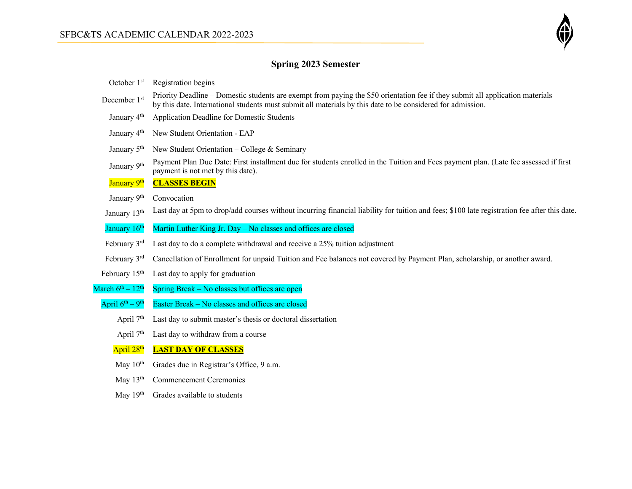

# **Spring 2023 Semester**

| October 1st                            | Registration begins                                                                                                                                                                                                                           |
|----------------------------------------|-----------------------------------------------------------------------------------------------------------------------------------------------------------------------------------------------------------------------------------------------|
| December 1st                           | Priority Deadline – Domestic students are exempt from paying the \$50 orientation fee if they submit all application materials<br>by this date. International students must submit all materials by this date to be considered for admission. |
| January 4 <sup>th</sup>                | Application Deadline for Domestic Students                                                                                                                                                                                                    |
| January 4 <sup>th</sup>                | New Student Orientation - EAP                                                                                                                                                                                                                 |
| January 5 <sup>th</sup>                | New Student Orientation – College & Seminary                                                                                                                                                                                                  |
| January 9th                            | Payment Plan Due Date: First installment due for students enrolled in the Tuition and Fees payment plan. (Late fee assessed if first<br>payment is not met by this date).                                                                     |
| January 9th                            | <b>CLASSES BEGIN</b>                                                                                                                                                                                                                          |
| January 9th                            | Convocation                                                                                                                                                                                                                                   |
| January 13th                           | Last day at 5pm to drop/add courses without incurring financial liability for tuition and fees; \$100 late registration fee after this date.                                                                                                  |
| January 16 <sup>th</sup>               | Martin Luther King Jr. Day – No classes and offices are closed                                                                                                                                                                                |
| February 3rd                           | Last day to do a complete withdrawal and receive a 25% tuition adjustment                                                                                                                                                                     |
| February 3rd                           | Cancellation of Enrollment for unpaid Tuition and Fee balances not covered by Payment Plan, scholarship, or another award.                                                                                                                    |
| February 15 <sup>th</sup>              | Last day to apply for graduation                                                                                                                                                                                                              |
| March $6^{\text{th}} - 12^{\text{th}}$ | Spring Break – No classes but offices are open                                                                                                                                                                                                |
| April $6^{th} - 9^{th}$                | Easter Break - No classes and offices are closed                                                                                                                                                                                              |
| April 7 <sup>th</sup>                  | Last day to submit master's thesis or doctoral dissertation                                                                                                                                                                                   |
| April $7th$                            | Last day to withdraw from a course                                                                                                                                                                                                            |
| April 28 <sup>th</sup>                 | <b>LAST DAY OF CLASSES</b>                                                                                                                                                                                                                    |
| May $10^{th}$                          | Grades due in Registrar's Office, 9 a.m.                                                                                                                                                                                                      |
| May $13th$                             | <b>Commencement Ceremonies</b>                                                                                                                                                                                                                |
| May $19th$                             | Grades available to students                                                                                                                                                                                                                  |